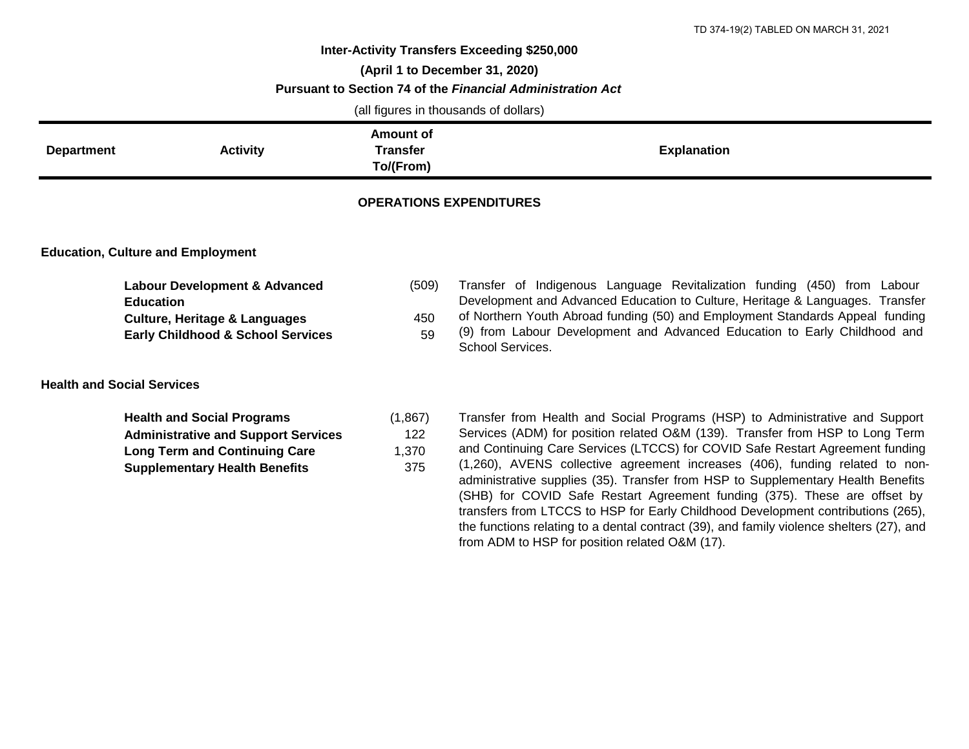## **Inter-Activity Transfers Exceeding \$250,000 (April 1 to December 31, 2020) Pursuant to Section 74 of the** *Financial Administration Act* (all figures in thousands of dollars)

| (all figures in thousands of dollars)    |                                                                                                                                                                                               |                                           |                                                                                                                                                                                                                                                                                                                                                                                                                                                                                                                                                                                                                                                                                                                                   |  |  |
|------------------------------------------|-----------------------------------------------------------------------------------------------------------------------------------------------------------------------------------------------|-------------------------------------------|-----------------------------------------------------------------------------------------------------------------------------------------------------------------------------------------------------------------------------------------------------------------------------------------------------------------------------------------------------------------------------------------------------------------------------------------------------------------------------------------------------------------------------------------------------------------------------------------------------------------------------------------------------------------------------------------------------------------------------------|--|--|
| <b>Department</b>                        | <b>Activity</b>                                                                                                                                                                               | Amount of<br><b>Transfer</b><br>To/(From) | <b>Explanation</b>                                                                                                                                                                                                                                                                                                                                                                                                                                                                                                                                                                                                                                                                                                                |  |  |
| <b>OPERATIONS EXPENDITURES</b>           |                                                                                                                                                                                               |                                           |                                                                                                                                                                                                                                                                                                                                                                                                                                                                                                                                                                                                                                                                                                                                   |  |  |
| <b>Education, Culture and Employment</b> |                                                                                                                                                                                               |                                           |                                                                                                                                                                                                                                                                                                                                                                                                                                                                                                                                                                                                                                                                                                                                   |  |  |
|                                          | <b>Labour Development &amp; Advanced</b><br><b>Education</b><br><b>Culture, Heritage &amp; Languages</b><br><b>Early Childhood &amp; School Services</b><br><b>Health and Social Services</b> | (509)<br>450<br>59                        | Transfer of Indigenous Language Revitalization funding (450) from Labour<br>Development and Advanced Education to Culture, Heritage & Languages. Transfer<br>of Northern Youth Abroad funding (50) and Employment Standards Appeal funding<br>(9) from Labour Development and Advanced Education to Early Childhood and<br>School Services.                                                                                                                                                                                                                                                                                                                                                                                       |  |  |
|                                          | <b>Health and Social Programs</b><br><b>Administrative and Support Services</b><br><b>Long Term and Continuing Care</b><br><b>Supplementary Health Benefits</b>                               | (1,867)<br>122<br>1,370<br>375            | Transfer from Health and Social Programs (HSP) to Administrative and Support<br>Services (ADM) for position related O&M (139). Transfer from HSP to Long Term<br>and Continuing Care Services (LTCCS) for COVID Safe Restart Agreement funding<br>(1,260), AVENS collective agreement increases (406), funding related to non-<br>administrative supplies (35). Transfer from HSP to Supplementary Health Benefits<br>(SHB) for COVID Safe Restart Agreement funding (375). These are offset by<br>transfers from LTCCS to HSP for Early Childhood Development contributions (265),<br>the functions relating to a dental contract (39), and family violence shelters (27), and<br>from ADM to HSP for position related O&M (17). |  |  |